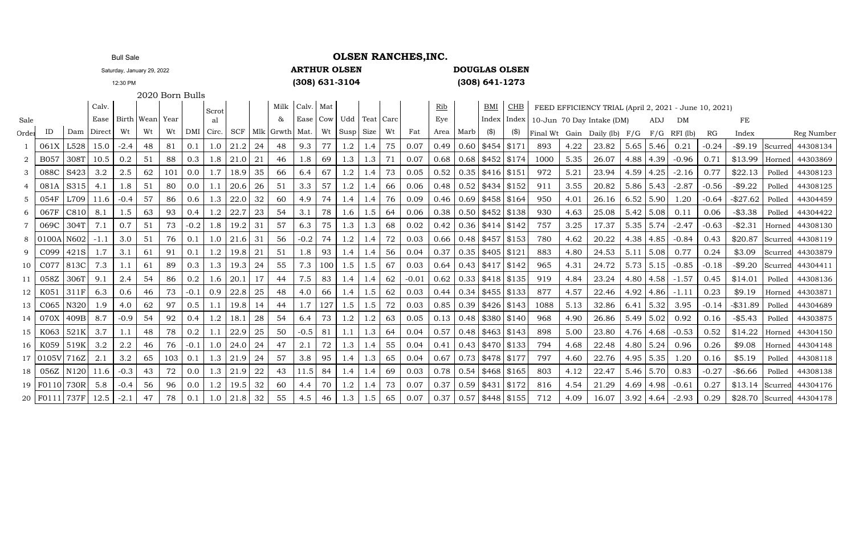## Bull Sale **OLSEN RANCHES,INC.**<br> **ARTHUR OLSEN**

Saturday, January 29, 2022

12:30 PM

**(308) 631-3104 (308) 641-1273**

**ARTHUR OLSEN DOUGLAS OLSEN**

2020 Born Bulls

|       |                                 |           | Calv.  |                            |    |     |            | Scrot            |                    |    |                                             | Milk Calv. Mat |     |                   |     |     |         | Rib                   |      | BMI                                  | <b>CHB</b>    |      |      | FEED EFFICIENCY TRIAL (April 2, 2021 - June 10, 2021) |                       |     |         |         |             |          |                           |
|-------|---------------------------------|-----------|--------|----------------------------|----|-----|------------|------------------|--------------------|----|---------------------------------------------|----------------|-----|-------------------|-----|-----|---------|-----------------------|------|--------------------------------------|---------------|------|------|-------------------------------------------------------|-----------------------|-----|---------|---------|-------------|----------|---------------------------|
| Sale  |                                 |           |        | Ease   Birth   Wean   Year |    |     |            |                  |                    |    |                                             | Ease Cow       |     | Udd   Teat   Carc |     |     |         | Eve                   |      |                                      |               |      |      | $Index   Index   10-Jun 70 Day Intake (DM)$           |                       | ADJ | DM      |         | FE          |          |                           |
| Ordei |                                 | Dam       | Direct | Wt                         | Wt |     |            |                  |                    |    | Wt   DMI   Circ.   SCF   Mlk   Grwth   Mat. |                |     | Wt Susp Size      |     | Wt  | Fat     | Area Marb             |      | (\$)                                 | (\$)          |      |      | Final Wt Gain Daily (lb) F/G F/G RFI (lb)             |                       |     |         | RG      | Index       |          | Reg Number                |
|       | 061X                            | L528      | 15.0   | $-2.4$                     | 48 | 81  | 0.1        | 1.0              | 21.2               | 24 | 48                                          | 9.3            | 77  | 1.2               | 1.4 | 75  | 0.07    | 0.49                  | 0.60 | $$454 \, \text{\AA} \, 3171$         |               | 893  | 4.22 | 23.82                                                 | $5.65$   5.46         |     | 0.21    | $-0.24$ | $-$ \$9.19  |          | Scurred 44308134          |
|       | B057                            | 308T 10.5 |        | 0.2                        | 51 | 88  | 0.3        | 1.8              | 21.0               | 21 | 46                                          | 1.8            | 69  | 1.3               | 1.3 | 71  | 0.07    | $0.68$   0.68         |      | \$452 \$174                          |               | 1000 | 5.35 | 26.07                                                 | 4.88 4.39             |     | $-0.96$ | 0.71    | \$13.99     |          | Horned 44303869           |
|       | 088C                            | S423      | 3.2    | 2.5                        | 62 | 101 | 0.0        | 1.7 <sub>l</sub> | 18.9 35            |    | 66                                          | 6.4            | 67  | 1.2               | 1.4 | 73  | 0.05    |                       |      | $0.52 \mid 0.35 \mid $416 \mid $151$ |               | 972  | 5.21 | 23.94                                                 | $4.59$   $4.25$       |     | $-2.16$ | 0.77    | \$22.13     |          | Polled 44308123           |
|       | 081A                            | S315      | 4.1    | 1.8                        | 51 | 80  | 0.0        | 1.1              | 20.6               | 26 | 51                                          | 3.3            | 57  | 1.2               | 1.4 | 66  | 0.06    |                       |      | $0.48$   0.52   \$434   \$152        |               | 911  | 3.55 | 20.82                                                 | 5.86 5.43             |     | $-2.87$ | $-0.56$ | $-$ \$9.22  | Polled   | 44308125                  |
|       | 054F                            | L709 11.6 |        | $-0.4$                     | 57 | 86  | 0.6        | 1.3              | 22.0               | 32 | 60                                          | 4.9            | 74  | 1.4               | 1.4 | 76  | 0.09    |                       |      | $0.46$   0.69   \$458   \$164        |               | 950  | 4.01 | 26.16                                                 | 6.52 5.90             |     | 1.20    | $-0.64$ | -\$27.62    | Polled   | 44304459                  |
|       | 067F                            | C810      | 8.1    | 1.5                        | 63 | 93  | $0.4 \mid$ |                  | $1.2 \,   \, 22.7$ | 23 | 54                                          | 3.1            | 78  | 1.6               | 1.5 | 64  | 0.06    |                       |      | $0.38 \mid 0.50 \mid $452 \mid $138$ |               | 930  | 4.63 | 25.08                                                 | $5.42 \mid 5.08$      |     | 0.11    | 0.06    | $-$ \$3.38  |          | Polled 44304422           |
|       | 069C                            | 304T      | 7.1    | 0.7                        | 51 | 73  | $-0.2$     | 1.8              | $19.2$ 31          |    | 57                                          | 6.3            | 75  | 1.3               | 1.3 | 68  | 0.02    |                       |      | $0.42 \mid 0.36 \mid $414 \mid $142$ |               | 757  | 3.25 | 17.37                                                 | $5.35$ 5.74           |     | $-2.47$ | $-0.63$ | $-$2.31$    |          | Horned 44308130           |
|       | 8 0100A                         | N602      | $-1.1$ | 3.0                        | 51 | 76  | 0.1        | 1.0              | $21.6$ 31          |    | 56                                          | $-0.2$         | 74  | 1.2               | 1.4 | 72  | 0.03    | $0.66 \mid 0.48 \mid$ |      | \$457 \$153                          |               | 780  | 4.62 | 20.22                                                 | 4.38 4.85             |     | $-0.84$ | 0.43    | \$20.87     |          | Scurred 44308119          |
|       | C099                            | 421S      | 1.7    | 3.1                        | 61 | 91  | 0.1        | 1.2              | $19.8$ 21          |    | 51                                          | 1.8            | 93  | 1.4               | 1.4 | -56 | 0.04    |                       |      | $0.37 \mid 0.35 \mid $405 \mid $121$ |               | 883  | 4.80 | 24.53                                                 | $5.11 \mid 5.08$      |     | 0.77    | 0.24    | \$3.09      |          | Scurred 44303879          |
| 10 I  | C077                            | 813C      | 7.3    | 1.1                        | 61 | 89  | 0.3        | 1.3              | 19.3               | 24 | 55                                          | 7.3            | 100 | 1.5               | 1.5 | 67  | 0.03    |                       |      | $0.64$   0.43   \$417   \$142        |               | 965  | 4.31 | 24.72                                                 | $5.73$ $5.15$         |     | $-0.85$ | $-0.18$ | $-$ \$9.20  |          | Scurred 44304411          |
|       | 058Z                            | 306T      | 9.1    | 2.4                        | 54 | 86  | 0.2        | 1.6              | 20.1               | 17 | 44                                          | 7.5            | 83  | 1.4               | 1.4 | 62  | $-0.01$ | $0.62 \mid 0.33$      |      | $$418 \mid $135$                     |               | 919  | 4.84 | 23.24                                                 | 4.80 4.58             |     | $-1.57$ | 0.45    | \$14.01     | Polled   | 44308136                  |
|       | K051                            | 311F      | 6.3    | 0.6                        | 46 | 73  | $-0.1$     | 0.9              | 22.8               | 25 | 48                                          | 4.0            | 66  | 1.4               | 1.5 | 62  | 0.03    | $0.44 \mid 0.34 \mid$ |      | $$455 \,   \, $133$                  |               | 877  | 4.57 | 22.46                                                 | $4.92 \mid 4.86 \mid$ |     | $-1.11$ | 0.23    | \$9.19      |          | Horned 44303871           |
| 13 I  | C065                            | N320      | 1.9    | 4.0                        | 62 | 97  | 0.5        | 1.1              | 19.8               | 14 | 44                                          | 1.7            | 127 | 1.5               | 1.5 | 72  | 0.03    | $0.85 \mid 0.39 \mid$ |      | $$426 \,$ \$143                      |               | 1088 | 5.13 | 32.86                                                 | 6.41 5.32             |     | 3.95    | $-0.14$ | $-$ \$31.89 | Polled I | 44304689                  |
|       | $14$ 070X                       | 409B      | 8.7    | -0.9                       | 54 | 92  | 0.4        | 1.2              | 18.1               | 28 | 54                                          | 6.4            | 73  | 1.2               | 1.2 | 63  | 0.05    | $0.13 \mid 0.48 \mid$ |      | $$380 \;   \; $140$                  |               | 968  | 4.90 | 26.86                                                 | 5.49 5.02             |     | 0.92    | 0.16    | $-$ \$5.43  |          | Polled 44303875           |
|       | K063                            | 521K      | 3.7    | 1.1                        | 48 | 78  | 0.2        | 1.1 <sup>1</sup> | 22.9               | 25 | 50                                          | $-0.5$         | 81  | 1.1               | 1.3 | 64  | 0.04    |                       |      | $0.57 \mid 0.48 \mid $463 \mid $143$ |               | 898  | 5.00 | 23.80                                                 | 4.76 4.68             |     | $-0.53$ | 0.52    | \$14.22     |          | Horned 44304150           |
| 16 I  | K059   519K                     |           | 3.2    | 2.2                        | 46 | 76  | $-0.1$     | 1.0 <sub>l</sub> | 24.0               | 24 | 47                                          | 2.1            | 72  | 1.3               | 1.4 | 55  | 0.04    |                       |      | $0.41 \mid 0.43 \mid $470 \mid $133$ |               | 794  | 4.68 | 22.48                                                 | $4.80 \mid 5.24$      |     | 0.96    | 0.26    | \$9.08      |          | Horned 44304148           |
|       | 17 0105V 716Z                   |           | 2.1    | 3.2                        | 65 | 103 | 0.1        |                  | $1.3$ 21.9         | 24 | 57                                          | 3.8            | 95  | 1.4               | 1.3 | 65  | 0.04    | $0.67 \mid 0.73 \mid$ |      | \$478 \$177                          |               | 797  | 4.60 | 22.76                                                 | 4.95 5.35             |     | 1.20    | 0.16    | \$5.19      | Polled   | 44308118                  |
|       | 18 056Z N120 11.6               |           |        | $-0.3$                     | 43 | 72  | $0.0\vert$ |                  | $1.3$ 21.9         | 22 | 43                                          | 11.5           | 84  | 1.4               | 1.4 | 69  | 0.03    |                       |      | $0.78$ 0.54 \$468 \$165              |               | 803  | 4.12 | 22.47                                                 | 5.46 5.70             |     | 0.83    | $-0.27$ | -\$6.66     |          | Polled 44308138           |
|       | 19 F0110 730R                   |           | 5.8    | $-0.4$                     | 56 | 96  | 0.0        | $1.2\,$          | 19.5               | 32 | 60                                          | 4.4            | 70  | 1.2               | 1.4 | 73  | 0.07    |                       |      | $0.37 \mid 0.59 \mid $431 \mid $172$ |               | 816  | 4.54 | 21.29                                                 | $4.69$   $4.98$       |     | $-0.61$ | 0.27    |             |          | $$13.14$ Scurred 44304176 |
|       | 20   F0111   737F   12.5   -2.1 |           |        |                            | 47 | 78  | 0.1        |                  | $1.0$ 21.8 32      |    | 55                                          | 4.5            | 46  | 1.3               | 1.5 | 65  | 0.07    | $0.37 \mid 0.57 \mid$ |      |                                      | $$448$ $$155$ | 712  | 4.09 | 16.07                                                 | $3.92 \mid 4.64 \mid$ |     | $-2.93$ | 0.29    |             |          | \$28.70 Scurred 44304178  |